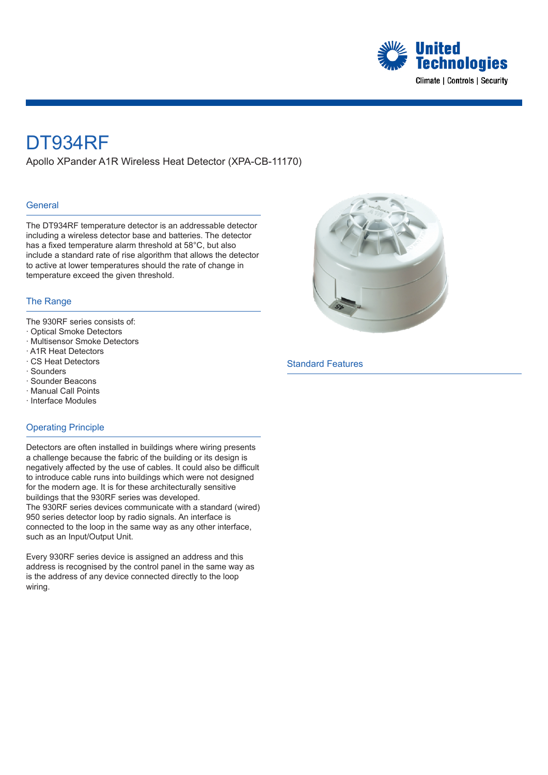

# DT934RF

Apollo XPander A1R Wireless Heat Detector (XPA-CB-11170)

#### **General**

The DT934RF temperature detector is an addressable detector including a wireless detector base and batteries. The detector has a fixed temperature alarm threshold at 58°C, but also include a standard rate of rise algorithm that allows the detector to active at lower temperatures should the rate of change in temperature exceed the given threshold.

#### The Range

- The 930RF series consists of:
- · Optical Smoke Detectors
- · Multisensor Smoke Detectors
- · A1R Heat Detectors
- · CS Heat Detectors
- · Sounders
- · Sounder Beacons
- · Manual Call Points
- · Interface Modules

### Operating Principle

Detectors are often installed in buildings where wiring presents a challenge because the fabric of the building or its design is negatively affected by the use of cables. It could also be difficult to introduce cable runs into buildings which were not designed for the modern age. It is for these architecturally sensitive buildings that the 930RF series was developed. The 930RF series devices communicate with a standard (wired) 950 series detector loop by radio signals. An interface is connected to the loop in the same way as any other interface, such as an Input/Output Unit.

Every 930RF series device is assigned an address and this address is recognised by the control panel in the same way as is the address of any device connected directly to the loop wiring.



#### Standard Features